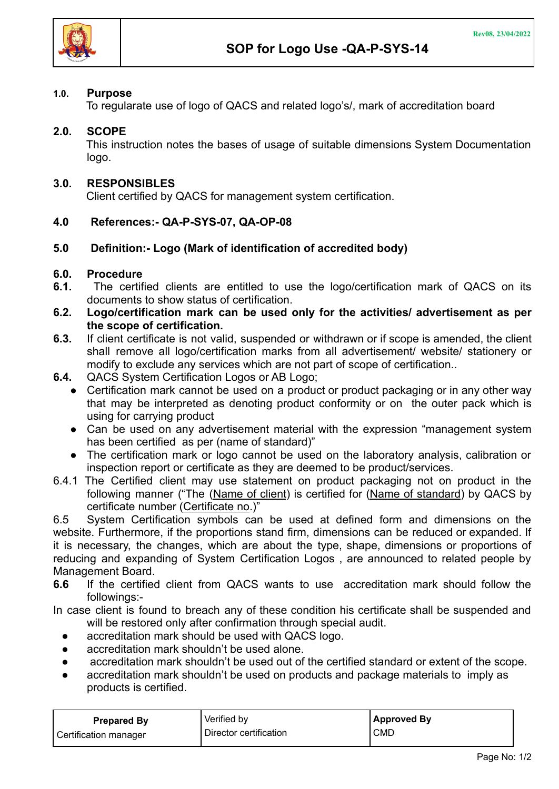## **1.0. Purpose**

To regularate use of logo of QACS and related logo's/, mark of accreditation board

# **2.0. SCOPE**

This instruction notes the bases of usage of suitable dimensions System Documentation logo.

## **3.0. RESPONSIBLES**

Client certified by QACS for management system certification.

## **4.0 References:- QA-P-SYS-07, QA-OP-08**

## **5.0 Definition:- Logo (Mark of identification of accredited body)**

## **6.0. Procedure**

- **6.1.** The certified clients are entitled to use the logo/certification mark of QACS on its documents to show status of certification.
- **6.2. Logo/certification mark can be used only for the activities/ advertisement as per the scope of certification.**
- **6.3.** If client certificate is not valid, suspended or withdrawn or if scope is amended, the client shall remove all logo/certification marks from all advertisement/ website/ stationery or modify to exclude any services which are not part of scope of certification..
- **6.4.** QACS System Certification Logos or AB Logo;
	- Certification mark cannot be used on a product or product packaging or in any other way that may be interpreted as denoting product conformity or on the outer pack which is using for carrying product
	- Can be used on any advertisement material with the expression "management system has been certified as per (name of standard)"
	- The certification mark or logo cannot be used on the laboratory analysis, calibration or inspection report or certificate as they are deemed to be product/services.
- 6.4.1 The Certified client may use statement on product packaging not on product in the following manner ("The (Name of client) is certified for (Name of standard) by QACS by certificate number (Certificate no.)"

6.5 System Certification symbols can be used at defined form and dimensions on the website. Furthermore, if the proportions stand firm, dimensions can be reduced or expanded. If it is necessary, the changes, which are about the type, shape, dimensions or proportions of reducing and expanding of System Certification Logos , are announced to related people by Management Board.

**6.6** If the certified client from QACS wants to use accreditation mark should follow the followings:-

In case client is found to breach any of these condition his certificate shall be suspended and will be restored only after confirmation through special audit.

- accreditation mark should be used with QACS logo.
- accreditation mark shouldn't be used alone.
- accreditation mark shouldn't be used out of the certified standard or extent of the scope.
- accreditation mark shouldn't be used on products and package materials to imply as products is certified.

| <b>Prepared By</b>    | Verified by            | <b>Approved By</b> |
|-----------------------|------------------------|--------------------|
| Certification manager | Director certification | <b>CMD</b>         |